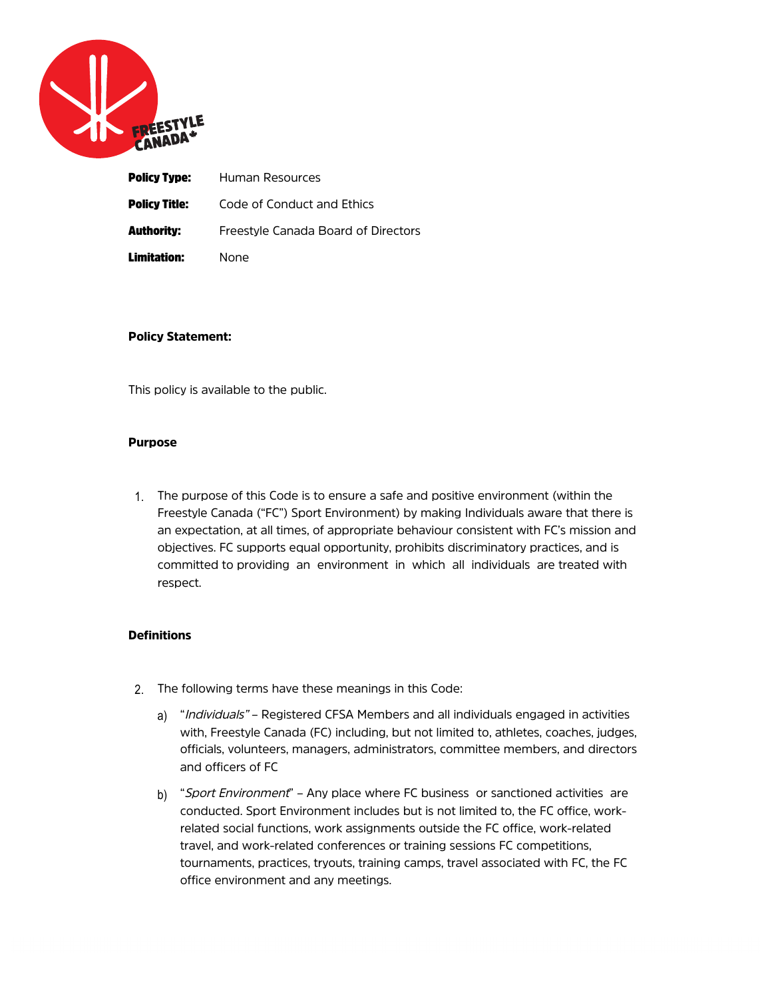

|                   | <b>Policy Type:</b> Human Resources |
|-------------------|-------------------------------------|
| Policy Title:     | Code of Conduct and Ethics          |
| <b>Authority:</b> | Freestyle Canada Board of Directors |
| Limitation:       | None                                |

## Policy Statement:

This policy is available to the public.

### Purpose

1. The purpose of this Code is to ensure a safe and positive environment (within the Freestyle Canada ("FC") Sport Environment) by making Individuals aware that there is an expectation, at all times, of appropriate behaviour consistent with FC's mission and objectives. FC supports equal opportunity, prohibits discriminatory practices, and is committed to providing an environment in which all individuals are treated with respect.

## **Definitions**

- 2. The following terms have these meanings in this Code:
	- a) "Individuals" Registered CFSA Members and all individuals engaged in activities with, Freestyle Canada (FC) including, but not limited to, athletes, coaches, judges, officials, volunteers, managers, administrators, committee members, and directors and officers of FC
	- b) "Sport Environment" Any place where FC business or sanctioned activities are conducted. Sport Environment includes but is not limited to, the FC office, workrelated social functions, work assignments outside the FC office, work-related travel, and work-related conferences or training sessions FC competitions, tournaments, practices, tryouts, training camps, travel associated with FC, the FC office environment and any meetings.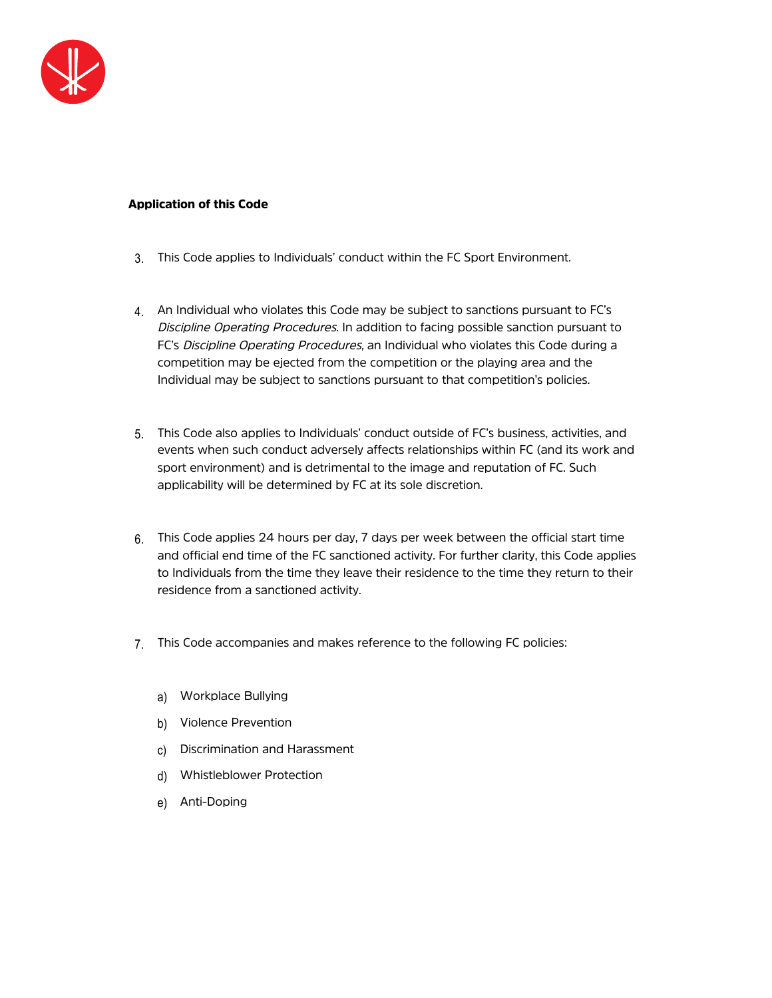

# Application of this Code

- 3. This Code applies to Individuals' conduct within the FC Sport Environment.
- 4. An Individual who violates this Code may be subject to sanctions pursuant to FC's Discipline Operating Procedures. In addition to facing possible sanction pursuant to FC's Discipline Operating Procedures, an Individual who violates this Code during a competition may be ejected from the competition or the playing area and the Individual may be subject to sanctions pursuant to that competition's policies.
- 5. This Code also applies to Individuals' conduct outside of FC's business, activities, and events when such conduct adversely affects relationships within FC (and its work and sport environment) and is detrimental to the image and reputation of FC. Such applicability will be determined by FC at its sole discretion.
- 6. This Code applies 24 hours per day, 7 days per week between the official start time and official end time of the FC sanctioned activity. For further clarity, this Code applies to Individuals from the time they leave their residence to the time they return to their residence from a sanctioned activity.
- 7. This Code accompanies and makes reference to the following FC policies:
	- a) Workplace Bullying
	- b) Violence Prevention
	- c) Discrimination and Harassment
	- d) Whistleblower Protection
	- e) Anti-Doping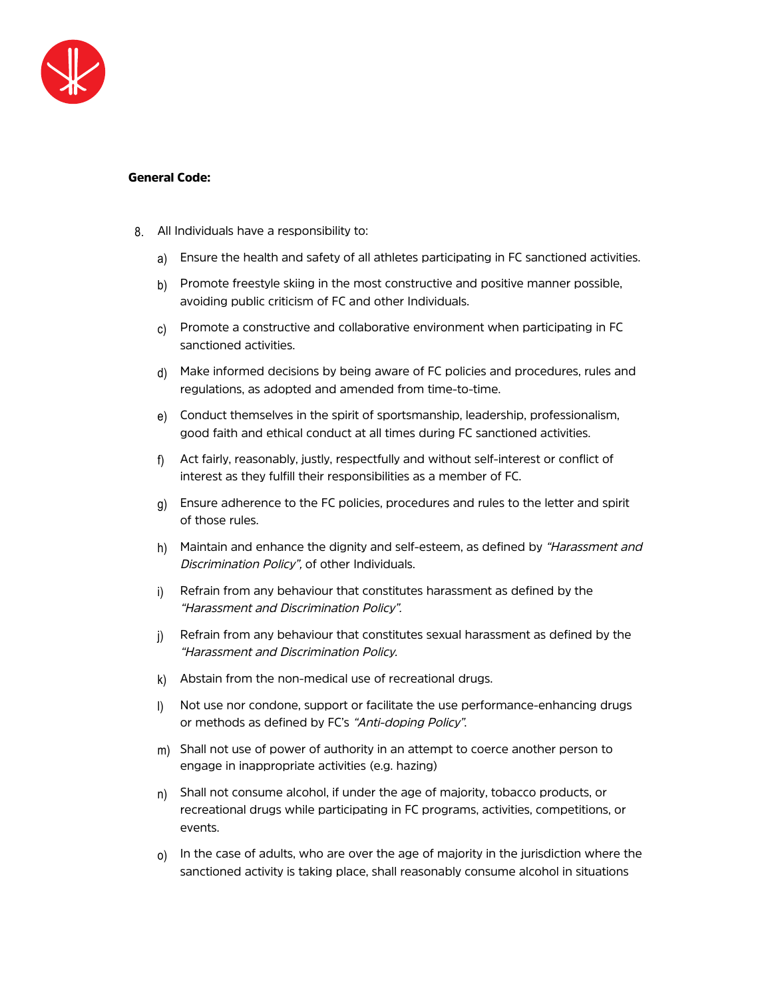

## General Code:

- 8. All Individuals have a responsibility to:
	- a) Ensure the health and safety of all athletes participating in FC sanctioned activities.
	- b) Promote freestyle skiing in the most constructive and positive manner possible, avoiding public criticism of FC and other Individuals.
	- $c)$  Promote a constructive and collaborative environment when participating in FC sanctioned activities.
	- d) Make informed decisions by being aware of FC policies and procedures, rules and regulations, as adopted and amended from time-to-time.
	- e) Conduct themselves in the spirit of sportsmanship, leadership, professionalism, good faith and ethical conduct at all times during FC sanctioned activities.
	- f) Act fairly, reasonably, justly, respectfully and without self-interest or conflict of interest as they fulfill their responsibilities as a member of FC.
	- g) Ensure adherence to the FC policies, procedures and rules to the letter and spirit of those rules.
	- h) Maintain and enhance the dignity and self-esteem, as defined by "Harassment and Discrimination Policy", of other Individuals.
	- i) Refrain from any behaviour that constitutes harassment as defined by the "Harassment and Discrimination Policy".
	- j) Refrain from any behaviour that constitutes sexual harassment as defined by the "Harassment and Discrimination Policy.
	- k) Abstain from the non-medical use of recreational drugs.
	- l) Not use nor condone, support or facilitate the use performance-enhancing drugs or methods as defined by FC's "Anti-doping Policy".
	- $m$ ) Shall not use of power of authority in an attempt to coerce another person to engage in inappropriate activities (e.g. hazing)
	- $n)$  Shall not consume alcohol, if under the age of majority, tobacco products, or recreational drugs while participating in FC programs, activities, competitions, or events.
	- $_0$ ) In the case of adults, who are over the age of majority in the jurisdiction where the sanctioned activity is taking place, shall reasonably consume alcohol in situations